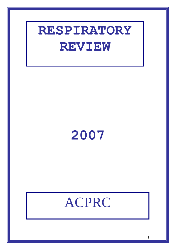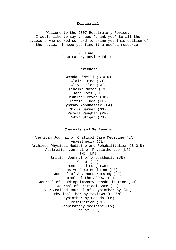# **Editorial**

Welcome to the 2007 Respiratory Review. I would like to say a huge 'thank you' to all the reviewers who worked so hard to bring you this edition of the review. I hope you find it a useful resource.

> Ann Owen Respiratory Review Editor

### **Reviewers**

Brenda O'Neill (B O'N) Claire Hine (CH) Clive Liles (CL) Fidelma Moran (FM) Jane Toms (JT) Jennifer Pryor (JP) Lizzie Flude (LF) Lyndsay Abbunassir (LA) Nicki Garner (NG) Pamela Vaughan (PV) Robyn Stiger (RS)

# **Journals and Reviewers**

American Journal of Critical Care Medicine (LA) Anaesthesia (CL) Archives Physical Medicine and Rehabilitation (B O'N) Australian Journal of Physiotherapy (LF) BMJ (LF) British Journal of Anaesthesia (JB) Chest (LF) Heart and Lung (CH) Intensive Care Medicine (RS) Journal of Advanced Nursing (JT) Journal of the ACPRC (CL) Journal of Cardiopulmonary Rehabilitation (CH) Journal of Critical Care (LA) New Zealand Journal of Physiotherapy (JP) Physical Therapy reviews (B O'N) Physiotherapy Canada (FM) Respiration (CL) Respiratory Medicine (PV) Thorax (PV)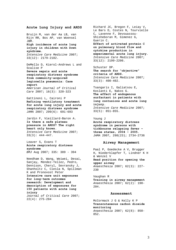## **Acute Lung Injury and ARDS**

Bruijn M, van der Aa LB, van Rijn RR, Bos AP, van Woensel JBM. **High incidence of acute lung injury in children with Down syndrome.**  *Intensive Care Medicine* 2007; 33(12): 2179-2182.

DeMello D, Kierol-Andrews L and Scalise P **[Severe sepsis and acute](http://proquest.umi.com/pqdweb?index=22&did=1269068481&SrchMode=3&sid=1&Fmt=3&VInst=PROD&VType=PQD&RQT=309&VName=PQD&TS=1206907961&clientId=64919&aid=1)  [respiratory distress syndrome](http://proquest.umi.com/pqdweb?index=22&did=1269068481&SrchMode=3&sid=1&Fmt=3&VInst=PROD&VType=PQD&RQT=309&VName=PQD&TS=1206907961&clientId=64919&aid=1)  [from community-acquired](http://proquest.umi.com/pqdweb?index=22&did=1269068481&SrchMode=3&sid=1&Fmt=3&VInst=PROD&VType=PQD&RQT=309&VName=PQD&TS=1206907961&clientId=64919&aid=1)  [legionella pneumonia: Case](http://proquest.umi.com/pqdweb?index=22&did=1269068481&SrchMode=3&sid=1&Fmt=3&VInst=PROD&VType=PQD&RQT=309&VName=PQD&TS=1206907961&clientId=64919&aid=1)  [report](http://proquest.umi.com/pqdweb?index=22&did=1269068481&SrchMode=3&sid=1&Fmt=3&VInst=PROD&VType=PQD&RQT=309&VName=PQD&TS=1206907961&clientId=64919&aid=1)** *[American Journal of Critical](http://proquest.umi.com/pqdweb?RQT=318&pmid=36637&TS=1206899869&clientId=64919&VInst=PROD&VName=PQD&VType=PQD)  [Care](http://proquest.umi.com/pqdweb?RQT=318&pmid=36637&TS=1206899869&clientId=64919&VInst=PROD&VName=PQD&VType=PQD)* 2007; 16(3): 320-323

Gattinoni L, Caironi P **Refining ventilatory treatment for acute lung injury and acute respiratory distress syndrome**  *JAMA* 2007; 299(6): 691-693

Jardin F, Vieillard-Baron A. **Is there a safe plateau pressure in ARDS? The right heart only knows.**  *Intensive Care Medicine* 2007; 33(3): 444-447.

Leaver S, Evans T **Acute respiratory distress syndrome** *BMJ* Aug 2007; 335: 389 - 394

Needham D, Wang, Weiwei, Desai, Sanjay, Mendez-Tellez, Pedro, Dennison, Cheryl, Sevransky J, Shanholtz C, Ciesla N, Spillman K and Pronovost Peter **Intensive care unit exposures for long-term outcomes research: Development and description of exposures for 150 patients with acute lung injury**  *Journal of Critical Care* 2007; 22(4): 275-284

Richard JC, Bregon F, Leiay V, Le Bars D, Costes N, Tourvielle C, Lavenne F, Devouassou-Shisheboran M, Gimenez G, Guerin C. **Effect of activated protein C on pulmonary blood flow and cytokine production in experimental acute lung injury.**  *Intensive Care Medicine* 2007; 33(12): 2199-2206.

Schuster DP. **The search for "objective" criteria of ARDS.**  *Intensive Care Medicine* 2007; 33(3): 400-402.

Tsangaris I, Galiatsou E, Koslanti E, Nakos G. **The effect of endogenous surfactant in patients with lung contusions and acute lung injury.**  *Intensive Care Medicine* 2007; 33(5): 851-855.

Young J **Acute respiratory distress syndrome in persons with tickbourne relapsing fever – three states, 2004 – 2005.**  *JAMA* 2007, 298(23); 2734-2736

## **Airway Management**

Paal P, Goedecke A V, Brugger H, Niederklapfer T, Lindner K H & Wenzel V **Head position for opening the upper airway**  *Anaesthesia* 2007; 62(3): 227- 230

Vaughan R **Training in airway management**  *Anaesthesia* 2007; 62(2): 190- 204.

## **Assessment**

McCormack J G & Kelly K P **Transcutaneous carbon dioxide monitoring**  *Anaesthesia* 2007; 62(8): 850- 852.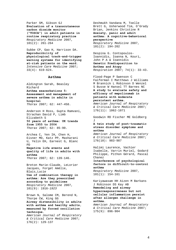Parker SM, Gibson GJ **Evaluation of a transcutaneous carbon dioxide monitor ("TOSCA") in adult patients in routine respiratory practice**  *Respiratory Medicine* 2007, 101(2): 261-264

Subbe CP, Gao H, Ha rrison DA. **Reproducibility of physiological track-and-trigger warning systems for identifying at-risk patients on the ward.**  *Intensive Care Medicine* 2007; 33(4): 619-624.

#### **Asthma**

Aldington Sarah, Beasley Richard **Asthma exacerbations 5: Assessment and management of severe asthma in adults in hospital** *Thorax* 2007; 62: 447-458.

Anderson H Ross, Gupta Ramvani, Strachan David P, Limb Elizabeth S **50 years of asthma: UK trends from 1955 to 2004** *Thorax* 2007; 62: 85-90.

Archea C, Yen IH, Chen H, Eisner MD, Katz PP, Masharani U, Yelin EH, Earnest G, Blanc **PD** 

**Negative life events and quality of life in adults with asthma**

*Thorax* 2007; 62: 139-146.

Breton Marie-Claude, LeLorier Jacques, Forget Amélie, Blais,Lucie **Use of combination therapy in asthma: Are they prescribed according to guidelines** *Respiratory Medicine* 2007, 101(9): 1916*-1923* 

Brown N, Salome CM, Berend N, Thorpe CW, King GG **Airway distensibility in adults with asthma and healthy adults, measured by forced oscillation technique.** 

*American Journal of Respiratory & Critical Care Medicine* 2007; 176(2): 129-137

Deshmukh Vandana M, Toelle Brett G, Usherwood Tim, O'Grady Brian, Jenkins Christine R **Anxiety, panic and adult asthma: A cognitive-behavioral perspective**  *Respiratory Medicine* 2007, 101(2): 194-202

Despina G. Contopoulos-Ioannidis, Ioanna N, Kouri, John P A & Ioannidis **Genetic Predisposition to Asthma and Atopy**  *Respiration* 2007; 74(1): 33-43.

Flood-Page P Swenson C Faiferman I Matthews J Williams M Brannick L Robinson D Wenzel S Busse W Hansel TT Barnes NC **A study to evaluate safety and efficacy of mepolizumab in patients with moderate persistent asthma.** 

*American Journal of Respiratory & Critical Care Medicine* 2007; 176(11): 1062-1071

Goodwin RD Fischer ME Goldberg J

## **A twin study of post-traumatic stress disorder symptoms and asthma**

*American Journal of Respiratory & Critical Care Medicine* 2007; 176(10): 983-987

Halimi Laurence, Vachier Isabelle, Varrin Muriel, Godard Philippe, Pithon Gérard, Pascal Chanez **Interference of psychological factors in difficult-to-control asthma** *Respiratory Medicine* 2007,

Kariyawasam HH Aizen M Barkans J Robinson DS Kay AB **Remodeling and airway hyperresponsiveness but not cellular inflammation persist after allergen challenge in** 

101(1): 154-161

**asthma.**  *American Journal of Respiratory & Critical Care Medicine* 2007; 175(9): 896-904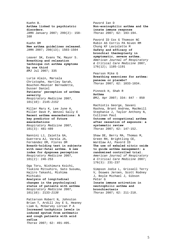Kuehn B. **Asthma linked to psychiatric disorders.** *JAMA* January 2007; 299(2): 158- 160 Kuehn BM **New asthma guidelines released.** 

*JAMA* 2007; 298(13); 1503-1504

Leaver SK, Evans TW, Mayor S. **Breathing and relaxation technique cut asthma symptoms by one third** *BMJ* Jul 2007; 335

Lurie Alain, Marsala Christophe, Hartley Sarah, Bouchon-Meunier Bernadette, Dusser Daniel **Patients' perception of asthma severity**  *Respiratory Medicine* 2007, 101(10): 2145*-2152*

Miller Mary K, Lee June H, Miller Dave P, Wenzel Sally E **Recent asthma exacerbations: A key predictor of future exacerbations** *Respiratory Medicine* 2007, 101(3): 481-489

Nannini LJ, Zaietta GA, Guerrera AJ, Varela JA, Fernández OM, Flores DM **Breath-holding test in subjects with near-fatal asthma. A new index for dyspnoea perception**  *Respiratory Medicine* 2007, 101(2): 246-253

Oga Toru, Nishimura Koichi, Tsukino Mitsuhiro, Sato Susumu, Hajiro Takashi, Mishima Michiaki **Analysis of longitudinal changes in the psychological status of patients with asthma** *Respiratory Medicine* 2007, 101(10): 2133*-2138* 

Patterson Robert N, Johnston Brian T, Ardill Joy E S, Heaney Liam G, McGarvey Lorcan P A **Increased tachykinin levels in induced sputum from asthmatic and cough patients with acid reflux** *Thorax* 2007; 62: 491-495.

Pavord Ian D **Non-eosinophilic asthma and the innate immune response** *Thorax* 2007; 62: 193-194.

Pavord ID Cox G Thomson NC Rubin AS Corris PA Niven RM Chung KF Laviolette M **Safety and efficacy of bronchial thermoplasty in symptomatic, severe asthma.** *American Journal of Respiratory & Critical Care Medicine* 2007, 176(12); 1185-1191

Pearson Mike G **Breathing exercises for asthma: panacea or placebo?** *Thorax* 2007; 62: 1033-1034.

Pinnock H, Shah R **Asthma** *BMJ,* Apr 2007; 334: 847 - 850

Rachiotis George, Savani Rashna, Brant Andrew, MacNeill Stephanie J, Taylor Anthony N, Cullinan Paul **Outcome of occupational asthma after cessation of exposure: a systematic review** *Thorax* 2007; 62: 147-152.

Shaw DE, Berry MA, Thomas M, Green RH, Brightling CE, Wardlaw AJ, Pavord ID **The use of exhaled nitric oxide to guide asthma management: a randomized controlled trial.**  *American Journal of Respiratory & Critical Care Medicine* 2007; 176(3): 231-237

Simpson Jodie L, Grissell Terry V, Douwes Jeroen, Scott Rodney J, Boyle Michael J, Gibson Peter G **Innate immune activation in neutrophilic asthma and bronchiectasis** *Thorax* 2007; 62: 211-218.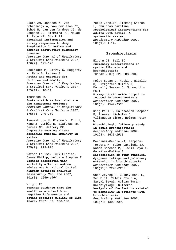Slats AM, Janssen K, van Schadewijk A, van der Plas DT, Schot R, van den Aardweg JG, de Jongste JC, Hiemstra PS, Mauad T, Rabe KF, Sterk PJ. **Bronchial inflammation and airway responses to deep inspiration in asthma and chronic obstructive pulmonary disease.**  *American Journal of Respiratory & Critical Care Medicine* 2007; 176(2): 121-128 Sockrider M, Garvey C, Haggerty M, Fahy B, Lareau S

**Asthma and exercise for children and adults.**  *American Journal of Respiratory & Critical Care Medicine* 2007; 175(11): 10-11

Thompson NC

**Smokers with asthma: what are the management options?**  *American Journal of Respiratory & Critical Care Medicine* 2007; 175(8): 749-750

Tsoumakidou M, Elston W, Zhu J, Wang Z, Gamble E, Siafakas NM, Barnes NC, Jeffery PK. **Cigarette smoking alters bronchial mucosal immunity in asthma.**  *American Journal of Respiratory & Critical Care Medicine* 2007;

175(9): 919-925

Watson Louise, Turk Florian, James Philip, Holgate Stephen T **Factors associated with mortality after an asthma admission: A national United Kingdom database analysis**  *Respiratory Medicine* 2007, 101(8): 1659*-1664* 

Wright RJ **Further evidence that the wealthier are healthier: negative life events and asthma-specific quality of life** *Thorax* 2007; 62: 106-108.

Yorke Janelle, Fleming Sharon L, Shuldham Caroline **Psychological interventions for adults with asthma: A systematic review** *Respiratory Medicine* 2007,  $101(1): 1-14.$ 

## **Bronchiectasis**

Elborn JS, Bell SC **Pulmonary exacerbations in cystic fibrosis and bronchiectasis** *Thorax* 2007; 62: 288-290.

Foley Susan C, Hopkins Natalie O, Fitzgerald Muiris X, Donnelly Seamas C, McLoughlin Paul **Airway nitric oxide output is** 

**reduced in bronchiectasis**  *Respiratory Medicine* 2007, 101(7): 1549*-1555* 

King Paul T, Holdsworth Stephen R, Freezer Nicholas J, Villanueva Elmer, Holmes Peter W

**Microbiologic follow-up study in adult bronchiectasis**  *Respiratory Medicine* 2007, 101(8): 1633*-1638* 

Martínez-García MA, Perpiñá-Tordera M, Soler-Cataluña JJ, Román-Sánchez P, Lloris-Bayo A, González-Molina A **Dissociation of lung function, dyspnoea ratings and pulmonary extension in bronchiectasis**  *Respiratory Medicine* 2007,

101(11): 2248*-2253* 

Onen Zeynep P, Gulbay Banu E, Sen Elif, Yildiz Öznur A, Saryal Sevgi, Acican Turan, Karabiyikoglu Gülseren **Analysis of the factors related to mortality in patients with bronchiectasis** *Respiratory Medicine* 2007, 101(7): 1390*-1397*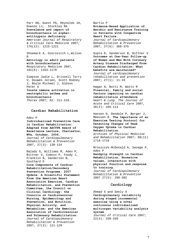Parr DG, Guest PG, Reynolds JH, Dowson LJ, Stockley RA **Prevalence and impact of bronchiectasis in alpha1 antitrypsin deficiency.**  *American Journal of Respiratory & Critical Care Medicine* 2007; 176(12): 1215-1221

Shoemark A, Ozerovitch L,Wilson R **Aetiology in adult patients** 

**with bronchiectasis**  *Respiratory Medicine* 2007, 101(6): 1163-1170

Simpson Jodie L, Grissell Terry V, Douwes Jeroen, Scott Rodney J, Boyle Michael J, Gibson Peter G **Innate immune activation in neutrophilic asthma and bronchiectasis**

*Thorax* 2007; 62: 211-218.

### **Cardiac Rehabilitation**

Ades P

**Individualized Preventive Care in Cardiac Rehabilitation: Adapted from AACVPR Award of Excellence Lecture, Charleston, WVa, October, 2006.** *Journal of Cardiopulmonary Rehabilitation & Prevention* 2007, 27(3): 130-134

Balady G, Williams M, Ades P, Bittner V, Comoss P, Foody J, Franklin B, Sanderson B, Southard D **Core Components of Cardiac Rehabilitation/Secondary Prevention Programs: 2007 Update: A Scientific Statement From the American Heart Association Exercise, Cardiac Rehabilitation, and Prevention Committee, the Council on Clinical Cardiology; the Councils on Cardiovascular Nursing, Epidemiology and Prevention, and Nutrition, Physical Activity, and Metabolism; and the American Association of Cardiovascular and Pulmonary Rehabilitation.** *Journal of Cardiopulmonary Rehabilitation & Prevention* 2007, 27(3): 121-129

#### Bartlo P

**Evidence-Based Application of Aerobic and Resistance Training in Patients with Congestive Heart Failure.**

*Journal of Cardiopulmonary Rehabilitation & Prevention* 2007, 27(6): 368-375

Gupta R, Sanderson B, Bittner V **Outcomes at One-Year Follow-up of Women and Men With Coronary Artery Disease Discharged From Cardiac Rehabilitation: What benefits are maintained?**  *Journal of cardiopulmonary rehabilitation and prevention* 2007; 27(1): 11-18

Hagan N, Botti M, Watts R **Financial, family and social factors impacting on cardiac rehabilitation attendance**  *Heart & Lung. The Journal of Acute and Critical Care* 2007, 36(2); 105-113

Hansen D, Dendale P, Berger J, Meeusen R. **The Importance of an Exercise Testing Protocol for Detecting Changes of Peak Oxygen Uptake in Cardiac Rehabilitation.**

*Archives of Physical Medicine and Rehabilitation* 2007; 88(11) 1716-1719

Mroszczyk-McDonald A, Savage P, Ades P

**Handgrip Strength in Cardiac Rehabilitation: Normative values, interaction with physical function and response to training.** *Journal of Cardiopulmonary Rehabilitation & Prevention* 2007 27(5): 298-302

### **Cardiology**

Ahmad S and Seely A **Cardiopulmonary variability during staged incremental exercise using a novel continuous individualized multiorgan variability analysis system**  *Journal of Critical Care* 2007; 22(4): 338-339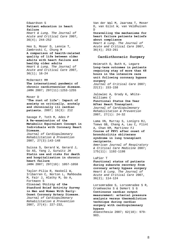```
Edwardson S 
Patient education in heart 
failure 
Heart & Lung. The Journal of 
Acute and Critical Care 2007, 
36(4); 244-252
```
Heo S, Moser D, Lennie T, Zambroski C, Chung M **A comparison of health-related quality of life between older adults with heart failure and healthy older adults**  *Heart & Lung. The Journal of Acute and Critical Care* 2007, 36(1); 16-24

McDermott MM **The international pandemic of chronic cardiovascular disease.**  *JAMA* 2007; 297(11):1253-1255

## Moser D

**"The rust of life": Impact of anxiety on critically, acutely and chronically ill cardiac patients.** 2007; 16(3): 212

Savage P, Toth M, Ades P **A Re-examination of the Metabolic Equivalent Concept in Individuals with Coronary Heart Disease.**

*Journal of Cardiopulmonary Rehabilitation & Prevention* 2007, 27(3):143-148

Suissa S, Gerard W, Gerard J, Go AS, Yang J, Gurwitz JH **Statin use and risks for death and hospitalization in chronic heart failure**  *JAMA* 2007; 297(10): 1057-1058

Taylor-Pilia R, Haskell W, Iribarren C, Norton L, Mahbouba M, Fair J, Hlatky M, Go A, Fortmann S

**Clinical Utility of the Stanford Brief Activity Survey in Men and Women With Early-Onset Coronary Artery Disease.** *Journal of Cardiopulmonary Rehabilitation & Prevention* 2007, 27(4): 227-232,

Van der Wal M, Jaarsma T, Moser D, van Gilst W, van Veldhuisen D

## **Unravelling the mechanisms for heart failure patients beliefs about compliance**

*Heart & Lung. The Journal of Acute and Critical Care* 2007, 36(4); 253-261

## **Cardiothoracic Surgery**

Heimrath O, Buth K, Legare **Long-term outcomes in patients requiring stay of more than 48 hours in the intensive care unit following coronary bypass surgery**  *Journal of Critical Care* 2007; 22(2): 153-158

Jalowiec A, Grady K, White-Williams C **Functional Status One Year** 

**After Heart Transplant.** *Journal of Cardiopulmonary Rehabilitation & Prevention* 2007, 27(1): 24-32

Lama VN, Murray S, Lonigro RJ, Toews GB, Chang A, Lau C, Flint A, Chan KM, Martinez FJ **Course of FEV1 after onset of bronchiolitis obliterans syndrome in lung transplant recipients.** 

*American Journal of Respiratory & Critical Care Medicine* 2007; 175(11): 1192-1198

### LaPier T

**Functional status of patients during subacute recovery from coronary artery bypass surgery**  *Heart & Lung. The Journal of Acute and Critical Care* 2007, 36(2); 114-124

Lorsomradee S, Lorsomradee S R, Cromheecke S & DeHert S G **Continuous cardiac output measurement: arterial pressure analysis versus thermodilution technique during cardiac surgery with cardiopulmonary bypass** *Anaesthesia* 2007; 62(10): 979-

983.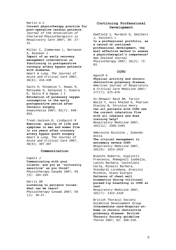## Martin A C **Current physiotherapy practice for post-operative cardiac patients**  *Journal of the Association of Chartered Physiotherapists in Respiratory Care* 2007; 39: 27- 31.

Miller C, Zimmerman L, Barnason S, Nieveen J **Impact of an early recovery management intervention on functioning in postoperative coronary artery bypass patients with diabetes**  *Heart & Lung. The Journal of* 

*Acute and Critical Care* 2007, 36(6); 418-430

Saito H, Minamiya Y, Kawai H, Motoyama S, Katayose Y, Kimura K, Saito R & Ogawa J I **Estimation of pulmonary oxygen consumption in the early postoperative period after thoracic surgery**  *Anaesthesia* 2007; 62(7): 648- 653.

Treat-Jackson D, Lindquist R **Exercise, quality of life and symptoms in men and women five to six years after coronary artery bypass graft surgery**  *Heart & Lung. The Journal of Acute and Critical Care* 2007, 36(6); 387-397

## **Communication**

Capell J **Communicating with your clients: are you as "culturally sensitive" as you think?**  *Physiotherapy Canada* 2007; 59 (3): 184-193.

Harris SR **Listening to patients voices: what can we learn?**  *Physiotherapy Canada* 2007; 59  $(1): 39-47.$ 

# **Continuing Professional Development**

Hadfield I, Murdoch G, Smithers J, Vaioleti L

**Is a professional portfolio, as a record of continued professional development, the most effective method to assess a physiotherapist's competence?**  *New Zealand Journal Physiotherapy* 2007; 35(2): 72- 83

### **COPD**

Agustà A **Physical activity and chronic obstructive pulmonary disease.**  *American Journal of Respiratory & Critical Care Medicine* 2007; 177(7); 675-676

Al-Showair Raid AM, Tarsin Walid Y, Assi Khaled H, Pearson Stanley B, Chrystyn Henry **Can all patients with COPD use the correct inhalation flow with all inhalers and does training help?** *Respiratory Medicine* 2007, 101(11): 2395*-2401* 

Ambrosino Nicolino , Simonds Anita

**The clinical management in extremely severe COPD** *Respiratory Medicine* 2007, 101(8): 1613*-1624*

Bianchi Roberto, Gigliotti Francesco, Romagnoli Isabella, Lanini Barbara, Castellani Carla, Binazzi Barbara, Stendardi Loredana, Grazzini Michela, Scano Giorgio **Patterns of chest wall kinematics during volitional pursed-lip breathing in COPD at rest**

*Respiratory Medicine* 2007, 101(7): *1412-1418* 

British Thoracic Society Guideline Development Group **Intermediate care—Hospital-at-Home in chronic obstructive pulmonary disease: British Thoracic Society guideline** *Thorax* 2007; 62: 200-210.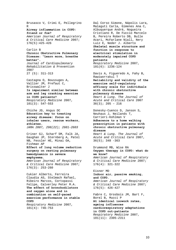Brusasco V, Crimi E, Pellegrino **Airway inflammation in COPD: friend or foe?**  *American Journal of Respiratory & Critical Care Medicine* 2007; 176(5):425-426 Carlin B **Chronic Obstructive Pulmonary Disease: "Learn more, breathe better".**  *Journal of Cardiopulmonary Rehabilitation &* Prevention 2007 27 (5): 311-313 Castagna O, Boussuges A, Vallier JM, Prefaut C, Brisswalter J **Is impairment similar between arm and leg cranking exercise in COPD patients?** *Respiratory Medicine* 2007, 101(3): 547-553 Chiche JD, Angus DC **Education key to treating airway disease: focus on inhaler users, rescue workers, athletes.**  *JAMA 2007, 298(22); 2601-2603*  Criner GJ, Scharf SM, Falk JA, Gaughan JP, Sternberg A, Patel NB, Fessler HE, Minai OA, Fishman AP **Effect of lung volume reduction surgery on resting pulmonary hemodynamics in severe emphysema.**  *American Journal of Respiratory & Critical Care Medicine* 2007;  $176(3): 253-260$ Cukier Alberto, Ferreira Claudia AS, Stelmach Rafael, Ribeiro Marcos, Cortopassi Felipe, Calverley Peter M.A. **The effect of bronchodilators and oxygen alone and in combination on self-paced exercise performance in stable COPD** *Respiratory Medicine* 2007, 101(4): 746-753

R

Dal Corso Simone, Nápolis Lara, Malaguti Carla, Gimenes Ana C, Albuquerque André, Nogueira Cristiano R, De Fuccio Marcelo B, Pereira Roberto DB, Bulle Acari, McFarlane Niall, Nery Luiz E, Neder J. Alberto **Skeletal muscle structure and function in response to electrical stimulation in moderately impaired COPD patients** *Respiratory Medicine* 2007, 101(6): 1236-124 Davis A, Figueredo A, Fahy B, Rawiworrakul T **Reliability and validity of the** 

**exercise self-regulatory efficacy scale for individuals with chronic obstructive pulmonary disease**  *Heart & Lung. The Journal of Acute and Critical Care* 2007  $36(3)$ ; 205 – 216

Donesky-Cuenco D, Janson S, Neuhaus J, Neilands T, Carrieri-Kohlman V **Adherence to a home walking prescription in patients with chronic obstructive pulmonary disease**  *Heart & Lung. The Journal of* 

*Acute and Critical Care* 2007, 36(5); 348 -363

Drummond MB, Wise RA **Oxygen therapy in COPD: what do we know?**  *American Journal of Respiratory & Critical Care Medicine* 2007; 176(4): 321-322 Eisner MD **Indoor air, passive smoking, and COPD.**  *American Journal of Respiratory & Critical Care Medicine* 2007; 176(5): 426-427

Fabre C, Grosbois JM, Bart F, Borel B, Mucci P **At identical isowork rates, ageing influences cardiorespiratory adaptations in COPD out-patients** *Respiratory Medicine* 2007, 101(11): 2305*-2311*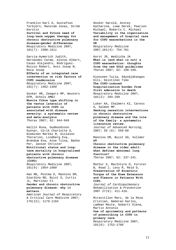Franklin Karl A, Gustafson Torbjörn, Ranstam Jonas, Ström Kerstin **Survival and future need of long-term oxygen therapy for chronic obstructive pulmonary disease—gender differences** *Respiratory Medicine* 2007, 101(7): 1506*-1511* 

Garcia-Aymerich Judith, Hernandez Carme, Alonso Albert, Casas Alejandro, Rodriguez-Roisin Robert, Anto Josep M, Roca Josep **Effects of an integrated care intervention on risk factors of COPD readmission** *Respiratory Medicine* 2007, 101(7): 1462*-1469* 

Gosker HR, Zeegers MP, Wouters EFM, Schols AMWJ **Muscle fibre type shifting in the vastus lateralis of patients with COPD is associated with disease severity: a systematic review and meta-analysis** *Thorax* 2007; 62: 944-949

Hallin Runa, Gudmundsson Gunnar, Ulrik Charlotte S, Nieminen Markku M, Gislason Thorarinn, Lindberg Eva, Brøndum Eva, Aine Tiina, Bakke Per, Janson Christer **Nutritional status and longterm mortality in hospitalised patients with chronic obstructive pulmonary disease (COPD)**

*Respiratory Medicine* 2007, 101(9): *1954-1960* 

Han MK, Postma D, Mannino DM, Giardino ND, Buist S, Curtis JL, Martinez FJ **Gender and chronic obstructive pulmonary disease: why it matters.** 

*American Journal of Respiratory & Critical Care Medicine* 2007; 176(12); 1179-1184

Hosker Harold, Anstey Katharine, Lowe Derek, Pearson Michael, Roberts C. Michael **Variability in the organization and management of hospital care for COPD exacerbations in the UK**

*Respiratory Medicine*  2007,101(4): 754-761

Hurst JR, Wedzicha JA **What is (and what is not) a COPD exacerbation: thoughts from the new GOLD guidelines** *Thorax* 2007; 62: 198-199.

Kinnunen Tuija, Säynäjäkangas Olli, Keistinen Timo **The COPD-induced hospitalization burden from first admission to death** *Respiratory Medicine* 2007, 101(2): 294-299

Luker KA, Chalmers KI, Caress A, Salmon MP. **Smoking cessation interventions in chronic obstructive pulmonary disease and the role of the family: a systematic literature review.**  *Journal of Advanced Nursing*, 2007; 59 (6): 559-68

Mannino DM, Buist AS, Vollmer WM **Chronic obstructive pulmonary** 

**disease in the older adult: what defines abnormal lung function?** *Thorax* 2007; 62: 237-241.

Mathur S, MacIntyre D, Forster B, Road J, Levy R, Reid D, **Preservation of Eccentric Torque of the Knee Extensors and Flexors in Patients With COPD.**

*Journal of Cardiopulmonary Rehabilitation & Prevention* 2007 27(6): 411-416.

Miravitlles Marc, de la Roza Cristian, Naberan Karlos, Lamban Maite, Gobartt Elena, Martin Antonio **Use of spirometry and patterns of prescribing in COPD in primary care**  *Respiratory Medicine* 2007, 101(8): 1753*-1760*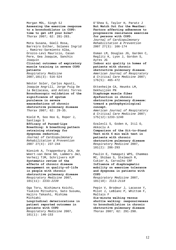Morgan MDL, Singh SJ **Assessing the exercise response to a bronchodilator in COPD: time to get off your bike?** *Thorax* 2007; 62: 281-283.

Mota Susana, Güell Rosa, Barreiro Esther, Solanes Ingrid , Ramírez-Sarmiento Alba, Orozco-Levi Mauricio, Casan Pere, Gea Joaquim, Sanchis Joaquín **Clinical outcomes of expiratory muscle training in severe COPD patients** *Respiratory Medicine*  2007,101(3): 516-524

Néstor Soler, Carlos Agustí, Joaquim Angrill, Jorge Puig De la Bellacasa, and Antoni Torres **Bronchoscopic validation of the significance of sputum purulence in severe exacerbations of chronic obstructive pulmonary disease** *Thorax* 2007; 62: 29-35.

Nield M, Soo Hoo G, Roper J, Santiago S **Efficacy of Pursed-Lips Breathing: A breathing pattern retraining strategy for dyspnoea reduction.**  *Journal of Cardiopulmonary Rehabilitation & Prevention* 2007 27(4): 237-244

Niesink A, Trappenburg JCA, de Weert-van Oene GH, Lammers JWJ, Verheij TJM, Schrijvers AJP **Systematic review of the effects of chronic disease management on quality-of-life in people with chronic obstructive pulmonary disease**  *Respiratory Medicine* 2007, 101(11): 2233*-2239* 

Oga Toru, Nishimura Koichi, Tsukino Mitsuhiro, Sato Susumu, Hajiro Takashi, Mishima Michiaki **Longitudinal deteriorations in patient reported outcomes in patients with COPD** *Respiratory Medicine* 2007, 101(1): 146-153

O'Shea S, Taylor H, Paratz J **But Watch Out for the Weather: Factors affecting adherence to progressive resistance exercise for persons with COPD.** 

*Journal of Cardiopulmonary Rehabilitation & Prevention* 2007 27(3): 166-174

Osman LM, Douglas JG, Garden C, Reglitz K, Lyon J, Gordon S, Ayres JG **Indoor air quality in homes of patients with chronic obstructive pulmonary disease.**  *American Journal of Respiratory & Critical Care Medicine* 2007; 176(5): 465-472

Ottenheijm CA, Heunks LM, Dekhuijzen PN **Diaphragm muscle fiber dysfunction in chronic obstructive pulmonary disease: toward a pathophysiological concept.**  *American Journal of Respiratory & Critical Care Medicine* 2007; 175(12):1233-1240

Ozalevli S, Ozden A, Itil O, Akkoclu A **Comparison of the Sit-to-Stand Test with 6 min walk test in patients with chronic obstructive pulmonary disease** *Respiratory Medicine* 2007, 101(2): 286-293

Paulin E, Yamaguti WPS, Chammas MC, Shibao S, Stelmach R, Cukier A, Carvalho CRF **Influence of diaphragmatic mobility on exercise tolerance and dyspnoea in patients with COPD**  *Respiratory Medicine* 2007, 101(10): 2113*-2118* 

Pepin V, Brodeur J, Lacasse Y, Milot J, LeBlanc P, Whittom F, Maltais F

**Six-minute walking versus shuttle walking: responsiveness to bronchodilation in chronic obstructive pulmonary disease** *Thorax* 2007; 62: 291-298.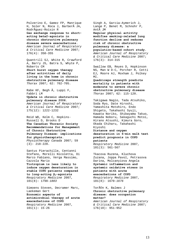Polverino E, Gamez FP, Manrique H, Soler N, Roca J, Barberà JA, RodrÃguez-Roisin R **Gas exchange response to shortacting beta2-agonists in chronic obstructive pulmonary disease severe exacerbations.**  *American Journal of Respiratory & Critical Care Medicine* 2007; 176(4): 350-355

Quantrill SJ, White R, Crawford A, Barry JS, Batra S, Whyte P, Roberts CM **Short burst oxygen therapy after activities of daily living in the home in chronic obstructive pulmonary disease** *Thorax* 2007; 62: 702-705.

Rabe KF, Begh Ã, Luppi F, Fabbri LM **Update in chronic obstructive pulmonary disease 2006.**  *American Journal of Respiratory & Critical Care Medicine* 2007; 175(12): 1222-1232

Reid WD, Kelm C, Hopkins-Russell D, Brooks D **The Canadian Thoracic Society Recommendations for Management of Chronic Obstructive Pulmonary Disease: implications for physiotherapists.**  *Physiotherapy Canada* 2007; 59 (3): 218-228.

Santus Pierachille, Centanni Stefano, Morelli Nicoletta, Di Marco Fabiano, Verga Massimo, Cazzola Mario **Tiotropium is less likely to induce oxygen desaturation in stable COPD patients compared to long-acting β2-agonists**  *Respiratory Medicine* 2007, 101(8): 1798*-1803* 

Simoens Steven, Decramer Marc, Laekeman Gert **Economic aspects of antimicrobial therapy of acute exacerbations of COPD** *Respiratory Medicine* 2007, 101(1): 15-26

Singh A, Garcia-Aymerich J, Lange P, Benet M, Schnohr P, Antà JM **Regular physical activity modifies smoking-related lung function decline and reduces risk of chronic obstructive pulmonary disease: a population-based cohort study.**  *American Journal of Respiratory & Critical Care Medicine* 2007; 176(3): 314-315 Swallow EB, Reyes D, Hopkinson NS, Man W D-C, Porcher R, Cetti EJ, Moore AJ, Moxham J, Polkey MI. **Quadriceps strength predicts** 

**mortality in patients with moderate to severe chronic obstructive pulmonary disease** *Thorax* 2007; 62: 115-120.

Takigawa Nagio, Tada Atsuhiko, Soda Ryo, Date Hiroshi, Yamashita Motohiro, Endo Shigeto, Takahashi Syuji, Kawata Noriko, Shibayama Takuo, Hamada Noboru, Sakaguchi Motoi, Hirano Atsushi, Kimura Goro, Okada Chiharu, Takahashi Kiyoshi **Distance and oxygen** 

# **desaturation in 6-min walk test predict prognosis in COPD patients**

*Respiratory Medicine* 2007, 101(3): 561-567

Tkacova Ruzena, Kluchova Zuzana, Joppa Pavol, Petrasova Darina, Molcanyiova Angela **Systemic inflammation and systemic oxidative stress in patients with acute exacerbations of COPD** *Respiratory Medicine* 2007, 101(8): 1670*-1676* 

Torén K, Balmes J **Chronic obstructive pulmonary disease: does occupation matter?**  *American Journal of Respiratory & Critical Care Medicine* 2007; 176(10): 951-952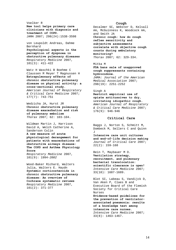Voelker R **New tool helps primary care clinicians with diagnosis and treatment of COPD.**  *JAMA* 2007; 298(24):1538-3598

von Leupoldt Andreas, Dahme Bernhard

**Psychological aspects in the perception of dyspnoea in obstructive pulmonary diseases** *Respiratory Medicine* 2007, 101(3): 411-422

Watz H Waschki B Boehme C Claussen M Meyer T Magnussen H **Extrapulmonary effects of chronic obstructive pulmonary disease on physical activity: a cross-sectional study.** *American Journal of Respiratory* 

*& Critical Care Medicine* 2007; 177(7): 743-751

Wedzicha JA, Hurst JR **Chronic obstructive pulmonary disease exacerbation and risk of pulmonary embolism** *Thorax* 2007; 62: 103-104.

Wildman Martin J, Harrison David A, Welch Catherine A, Sanderson Colin

**A new measure of acute physiological derangement for patients with exacerbations of obstructive airways disease: The COPD and Asthma Physiology Score**

*Respiratory Medicine* 2007, 101(9): 1994*-2002*

Wood-Baker Richard, Walters Julia, Walters E. Haydn **Systemic corticosteroids in chronic obstructive pulmonary disease: An overview of Cochrane systematic reviews** *Respiratory Medicine* 2007, 101(2): 371-377

## **Cough**

Decalmer SC, Webster D, Kelsall AA, McGuinness K, Woodcock AA, and Smith JA **Chronic cough: how do cough reflex sensitivity and subjective assessments correlate with objective cough counts during ambulatory monitoring?** *Thorax* 2007; 62: 329-334.

Mitka M **FDA bans sale of unapproved cough suppressants containing hydrocodone.** 

*JAMA: Journal of the American Medical Association* 2007; 298(19): 2251-2252

### Singh A

**Restrict empirical use of opiate antitussives to dry, irritating idiopathic cough.**  *American Journal of Respiratory & Critical Care Medicine* 2007; 176(9): 946-946

## **Critical Care**

Baggs J, Norton S, Schmitt M, Dombeck M, Sellers C and Quinn J **Intensive care unit cultures** 

**and end-of-life decision making**  *Journal of Critical Care* 2007; 22(2): 159-168

Bein T, Maybauer M O. **Ventilation strategy, recruitment, and pulmonary bacterial translocation: scientific clearance is open!**  *Intensive Care Medicine* 2007; 33(10): 1687-1689.

Blot SI, Labeau S, Vandijck D, Van Aken P, Claes B and Executive Board of the Flemish Society for Critical Care Nurses **Evidence-based guidelines for the prevention of ventilatorassociated pneumonia: results of a knowledge test among intensive care nurses.**  *Intensive Care Medicine* 2007;

33(8): 1463-1467.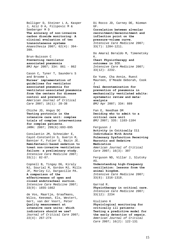Bolliger D, Steiner L A, Kasper J, Aziz O A, Filipovic M & Seeberger M D **The accuracy of non-invasive carbon dioxide monitoring: A clinical evaluation of two transcutaneous systems**  *Anaesthesia* 2007; 62(4): 394- 399*.* 

Brun-Buisson C **Preventing ventilator associated pneumonia** *BMJ* Apr 2007; 334: 861 - 862

Cason C, Tyner T, Saunders S and Broome L **Nurses' implementation of guidelines for ventilator associated pneumonia for ventilator-associated pneumonia from the centers for disease control and prevention.**  *[American Journal of Critical](http://proquest.umi.com/pqdweb?RQT=318&pmid=36637&TS=1206899869&clientId=64919&VInst=PROD&VName=PQD&VType=PQD)  [Care](http://proquest.umi.com/pqdweb?RQT=318&pmid=36637&TS=1206899869&clientId=64919&VInst=PROD&VName=PQD&VType=PQD)* 2007; 16(1): 28-38

Chiche JD, Angus DC **Testing protocols in the intensive care unit: complex trials of complex interventions for complex patients.**  *JAMA:* 2007; 299(6):693-695

Conslantin JM, Schneider E, Cayot-Constantin S, Guerin R, Bannier F, Futier E, Bazin JE. **Remifentanil-based sedation to treat non-invasive ventilation failure: a preliminary study.**  *Intensive Care Medicine* 2007; 33(1): 82-87.

Copnell B, Tingay DG, Kiraly NJ, Sourial M, Gordon MJ, Mills JF, Morley CJ, Dargaville PA. **A comparison of the effectiveness of open and closed endotracheal suction.**  *Intensive Care Medicine* 2007; 33(9): 1655-1662

de Vos, Maartje, Graafmans, Wilco, Keesman, Els, Westert, Gert, van der Voort, Peter **Quality measurement at intensive care units: which indicators should we use?**  *Journal of Critical Care* 2007; 22(4): 267-274

Di Rocco JD, Carney DE, Nieman GF.

**Correlation between alveolar recruitment/derecruitment and inflection point on the pressure-volume curve.**  *Intensive Care Medicine* 2007; 33(7): 1204-1211.

Do Amaral Beraldo M, Timenetsky K.

**Chest Physiotherapy and outcomes in ICU.**  *Intensive Care Medicine* 2007; 33(12): 2232.

Ee Yuee, Cha Annie, Ruest Maureen, O'Meade Deborah, Cook  $T_{\rm i}$ **Oral decontamination for prevention of pneumonia in mechanically ventilated adults: systematic review and meta-**

**analysis** *BMJ* Apr 2007; 334: 889

Fan E, Needham DM **Deciding who to admit to a critical care unit** *BMJ* 2007; 335: 1103-1104

Ferguson J **Activity in Critically Ill Individuals With Acute Pulmonary Dysfunction Receiving Narcotic and Sedative Medication**  *[American Journal of Critical](http://proquest.umi.com/pqdweb?RQT=318&pmid=36637&TS=1206899869&clientId=64919&VInst=PROD&VName=PQD&VType=PQD)  [Care](http://proquest.umi.com/pqdweb?RQT=318&pmid=36637&TS=1206899869&clientId=64919&VInst=PROD&VName=PQD&VType=PQD)* 2007; 16(3): 307

Ferguson ND, Villar J, Slutsky AS.

**Understanding high-frequency oscillation: lessons from the animal kingdom.**  *Intensive Care Medicine* 2007; 33(8): 1316-1318.

Garrod R. **Physiotherapy in critical care.**  *Intensive Care Medicine* 2007; 33(12): 2234

Giuliano K **Physiological monitoring for critically ill patients: Testing a predictive model for the early detection of sepsis.**  *[American Journal of Critical](http://proquest.umi.com/pqdweb?RQT=318&pmid=36637&TS=1206899869&clientId=64919&VInst=PROD&VName=PQD&VType=PQD)  [Care](http://proquest.umi.com/pqdweb?RQT=318&pmid=36637&TS=1206899869&clientId=64919&VInst=PROD&VName=PQD&VType=PQD)* 2007; 16(2): 122-131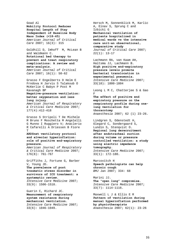Goad Al **Mobility Protocol Reduces Hospital Length of Stay Independent of Baseline Body Mass Index (<18-45)**  *[American Journal of Critical](http://proquest.umi.com/pqdweb?RQT=318&pmid=36637&TS=1206899869&clientId=64919&VInst=PROD&VName=PQD&VType=PQD)  [Care](http://proquest.umi.com/pqdweb?RQT=318&pmid=36637&TS=1206899869&clientId=64919&VInst=PROD&VName=PQD&VType=PQD)* 2007; 16(3): 315

Goldhill D, Imhoff M, McLean B and Waldmann C. **Rotational bed therapy to prevent and treat respiratory complications: A review and meta-analysis.**  *[American Journal of Critical](http://proquest.umi.com/pqdweb?RQT=318&pmid=36637&TS=1206899869&clientId=64919&VInst=PROD&VName=PQD&VType=PQD)  [Care](http://proquest.umi.com/pqdweb?RQT=318&pmid=36637&TS=1206899869&clientId=64919&VInst=PROD&VName=PQD&VType=PQD)* 2007; 16(1): 50-62

Grasso F Engelberts D Helm E Frndova H Jarvis S Talakoub O McKerlie C Babyn P Post M Kavanagh BP **Negative-pressure ventilation: better oxygenation and less** 

**lung injury.** 

*American Journal of Respiratory & Critical Care Medicine* 2007; 177(4):412-418

Grasso S Stripoli T De Michele M Bruno F Moschetta M Angelelli G Munno I Ruggiero V; Anaclerio R Cafarelli A Driessen B Fiore  $\mathbb{T}$ 

## **ARDSnet ventilatory protocol and alveolar hyperinflation: role of positive end-expiratory pressure.**

*American Journal of Respiratory & Critical Care Medicine* 2007; 176(8): 761-767

Griffiths J, Fortune G, Barber V, Young JD. **The prevalence of post traumatic stress disorder in survivors of ICU treatment: a systematic review.**  *Intensive Care Medicine* 2007; 33(9): 1506-1518.

Guerin C, Richard JC. **Measurement of respiratory system resistance during mechanical ventilation.**  *Intensive Care Medicine* 2007; 33(6): 1046-1049.

Hersch M, Sonnenblick M, Karlic A, Einav S, Sprung C and Izbicki G **Mechanical ventilation of patients hospitalized in medical wards vs the intensive care unit-an observational, comparative study**  *Journal of Critical Care* 2007; 22(1): 13-17

Lachmann RA, van Kaam AH, Haitsma JJ, Lachmann B. **High positive end-expiratory pressure levels promote bacterial translocation in experimental pneumonia.**  *Intensive Care Medicine* 2007; 33(10): 1800-1804

Leong L M C, Chatterjee S & Gao F

**The effect of positive end expiratory pressure on the respiratory profile during onelung ventilation for thoracotomy**  *Anaesthesia* 2007; 62 (1) 23-26.

Lindgren S, Odenstedt H, Olegard C, Sondergaard S, Lundin S, Stenqvist O. **Regional lung derecruitment after endotracheal suction during volume or pressure controlled ventilation: a study using electric impedance tomography.**  *Intensive Care Medicine* 2007; 33(1): 172-180.

Marcovitch H **Speech pathologists can help chronic cough** *BMJ* Jan 2007; 334: 68

Marini JJ. **The "open lung" compromise.**  *Intensive Care Medicine* 2007; 33(7): 1114-1116.

Maxwell L J & Ellis E R **Pattern of ventilation during manual hyperinflation performed by physiotherapists**  *Anaesthesia* 2007; 62(1): 23-26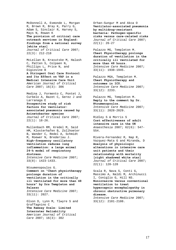McDonnell A, Esmonde L, Morgan R, Brown R, Bray K, Parry G, Adam S, Sinclair R, Harvey S, Mays N, Rowan K **The provision of critical care outreach services in England: findings from a national survey [white star]**  *Journal of Critical Care* 2007; 22(3): 212-218

McLellan B, Kravutske M, Halash C, Patten S, Colpaen N, Phillips L, Price N, and Digiovine B **A Stringent Oral Care Protocol and Its Effect on VAP in a Medical Intensive Care Unit**  *[American Journal of Critical](http://proquest.umi.com/pqdweb?RQT=318&pmid=36637&TS=1206899869&clientId=64919&VInst=PROD&VName=PQD&VType=PQD)  [Care](http://proquest.umi.com/pqdweb?RQT=318&pmid=36637&TS=1206899869&clientId=64919&VInst=PROD&VName=PQD&VType=PQD)* 2007; 16(3): 306

Medina J, Formento C, Pontet J, Curbelo A, Bazet C, Gerez J and Larranaga E **Prospective study of risk factors for ventilatorassociated pneumonia caused by Acinetobacter species**  *Journal of Critical Care* 2007;  $22(1): 18-26.$ 

Mullenbach RM, Kredel M, Said HM, Klosterhafen B, Zollhoeter B, Wander C, Redel A, Schmidt M, Roewer N, Brederlau J. **High-frequency oscillatory ventilation reduces lung inflammation: a large animal 24-h model of respiratory distress.**  *Intensive Care Medicine* 2007; 33(8): 1423-1433.

Ntoumenopoulos G. **Comment on "Chest physiotherapy prolongs duration of ventilation in the critically ill ventilated for more than 48 hours" by Drs Templeton and Palazzo**  *Intensive Care Medicine* 2007; 33(11): 2027.

Olson D, Lynn M, Tlwyre S and Graffagnino C

**The Ramsay Scale: Limited Interrater Reliability**  *[American Journal of Critical](http://proquest.umi.com/pqdweb?RQT=318&pmid=36637&TS=1206899869&clientId=64919&VInst=PROD&VName=PQD&VType=PQD)  [Care](http://proquest.umi.com/pqdweb?RQT=318&pmid=36637&TS=1206899869&clientId=64919&VInst=PROD&VName=PQD&VType=PQD)* 2007; 16(3): 302

Orhan-Sungur M and Akca O **Ventilator-associated pneumonia by multidrug-resistant bacteria: Pathogen-specific risks versus care-related risks**  *Journal of Critical Care* 2007;  $22(1): 26-27$ 

Palazzo MG, Templeton M. **Chest Physiotherapy prolongs duration of ventilation in the critically ill ventilated for more than 48 hours.**  *Intensive Care Medicine* 2007; 33(11): 1938-1945.

Palazzo MGA, Templeton M . **Chest Physiotherapy and outcomes in ICU.**  *Intensive Care Medicine* 2007; 33(12): 2233.

Palazzo MG, Templeton M. **Reply to the comment by Dr. Ntoumenopoulos.**  *Intensive Care Medicine* 2007; 33(11): 2028-2029.

Ridley S & Morris S **Cost effectiveness of adult intensive care in the UK**  *Anaesthesia* 2007; 62(6): 547- 554.

Rivera-Fernandez R, Nap R, Vazquez-Mata G and Miranda, D **Analysis of physiologic alterations in intensive care unit patients and their relationship with mortality [right shadowed white star]**  *Journal of Critical Care* 2007; 22(1): 120-128

Scala R, Nava S, Conti G, Massimo A, Naldi M, Archinucci I, Coniglio G, Hill NS. **Noninvasive versus conventional ventilation to treat hypercapnic encephalopathy in chronic obstructive pulmonary disease.**  *Intensive Care Medicine* 2007;

33(12): 2101-2108.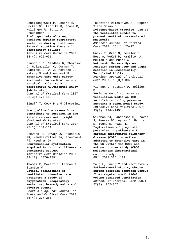Schellongowski P, Losert H, Locker GJ, Laczika K, Frass M, Holzinger U, Bojic A, Staudinger T. **Prolonged lateral steep position impairs respiratory mechanics during continuous lateral rotation therapy in respiratory failure.**  *Intensive Care Medicine* 2007; 33(4): 625-631.

Sinopoli D, Needham D, Thompson D, Holzmueller C, Dorman T, Lubomski L, Wu A, Morlock L, Makary M and Pronovost P **Intensive care unit safety incidents for medical versus surgical patients: A prospective multicenter study [white star]**  *Journal of Critical Care* 2007; 22(3): 177-183

Sinuff T, Cook D and Giacomini M **How qualitative research can** 

**contribute to research in the intensive care unit [right shadowed white star]**  *Journal of Critical Care* 2007; 22(1): 104-111

Stevens RD, Dowdy DW, Michaels RK, Mendez-Tellez PA, Pronovost PJ, Needham DM. **Neuromuscular dysfunction acquired in critical illness: a systematic review.**  *Intensive Care Medicine* 2007; 33(11): 1876-1891.

Thomas P, Paratz J, Lipman J, Stanton W **Lateral positioning of ventilated intensive care patients: a study of oxygenation, respiratory mechanics, haemodynamics and adverse events**  *Heart & Lung. The Journal of Acute and Critical Care* 2007 36(4); 277-286

Tolentino-DelosReyes A, Ruppert S and Shiao S **Evidence-based practice: Use of the ventilator bundle to prevent ventilator-associated pneumonia.**  *[American Journal of Critical](http://proquest.umi.com/pqdweb?RQT=318&pmid=36637&TS=1206899869&clientId=64919&VInst=PROD&VName=PQD&VType=PQD)  [Care](http://proquest.umi.com/pqdweb?RQT=318&pmid=36637&TS=1206899869&clientId=64919&VInst=PROD&VName=PQD&VType=PQD)* 2007; 16(1): 20-27

Unoki T, Grap M, Sessler C, Best A, WeKeI P, Hamilton A, Mellon K and Munro C **Autonomic Nervous System Function During Deep and Light Sedation in Mechanically Ventilated Adults**  *[American Journal of Critical](http://proquest.umi.com/pqdweb?RQT=318&pmid=36637&TS=1206899869&clientId=64919&VInst=PROD&VName=PQD&VType=PQD)  [Care](http://proquest.umi.com/pqdweb?RQT=318&pmid=36637&TS=1206899869&clientId=64919&VInst=PROD&VName=PQD&VType=PQD)* 2007; 16(3): 302

Vignaux L, Tassaux D, Jolliet P.

**Performance of noninvasive ventilation modes on ICU ventilators during pressure support: a bench model study.**  *Intensive Care Medicine* 2007; 33(8): 1444-1451.

Wildman MJ, Sanderson C, Groves J, Reeves BC, Ayres J, Harrison D, Young D, Rowan K. **Implications of prognostic pessimism in patients with chronic obstructive pulmonary disease (COPD) or asthma admitted to intensive care in the UK within the COPD and asthma outcome study (CAOS): multicentre observational cohort study** *BMJ* 2007;335:1132

Yang L, Huang Y and MacIntyre N **Patient-ventilator synchrony during pressure-targeted versus flow-targeted small tidal volume assisted ventilation**  *Journal of Critical Care* 2007;  $22(3): 252-257$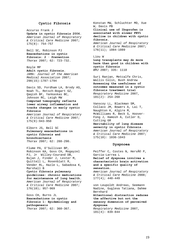### **Cystic Fibrosis**

Accurso Frank J **Update in cystic fibrosis 2006.**  *American Journal of Respiratory & Critical Care Medicine* 2007; 175(8): 754-757

Bell SC, Robinson PJ **Exacerbations in cystic fibrosis: 2 · Prevention** *Thorax* 2007; 62: 723-732.

Boyle MP **Adult cystic fibrosis.**  *JAMA: Journal of the American Medical Association* 2007; 298(15):1787-1794

Davis SD, Fordham LA, Brody AS, Noah TL, Retsch-Bogart GZ, Qaqish BF, Yankaskas BC, Johnson RC, Leigh MW **Computed tomography reflects lower airway inflammation and tracks changes in early cystic fibrosis**  *American Journal of Respiratory & Critical Care Medicine* 2007; 175(9):943-950

Elborn JS, Bell SC **Pulmonary exacerbations in cystic fibrosis and bronchiectasis** *Thorax* 2007; 62: 288-290.

Flume PA, O'Sullivan BP, Robinson KA, Goss CH, Mogayzel PJ, Jr Willey-Courand DB, Bujan J, Finder J, Lester M, Quittell L, Rosenblatt R, Vender RL, Hazle L, Sabadosa K, Marshall B

**Cystic fibrosis pulmonary guidelines: chronic medications for maintenance of lung health.**  *American Journal of Respiratory & Critical Care Medicine* 2007; 176(10); 957-969

Goss CH, Burns JL **Exacerbations in cystic fibrosis 1: Epidemiology and pathogenesis** *Thorax* 2007; 62: 360-367.

Konstan MW, Schluchter MD, Xue W, Davis PB **Clinical use of Ibuprofen is associated with slower FEV1 decline in children with cystic fibrosis.**  *American Journal of Respiratory & Critical Care Medicine* 2007; 176(11); 1084-1089

#### Liou W

**Lung transplants may do more harm than good in children with cystic fibrosis** *BMJ* 2007; 335: 1118

Suri Ranjan, Metcalfe Chris, Wallis Colin, Bush Andrew **Assessing the usefulness of outcomes measured in a cystic fibrosis treatment trial** *Respiratory Medicine* 2007, 101(2): 254-260

Vanscoy LL, Blackman SM, Collaco JM, Bowers A, Lai T, Naughton K, Algire M, McWilliams R, Beck S, Hoover-Fong J, Hamosh A, Cutler D, Cutting GR **Heritability of lung disease** 

**severity in cystic fibrosis.**  *American Journal of Respiratory & Critical Care Medicine* 2007; 175(10): 1036-1043

### **Dyspnoea**

Peiffer C, Costes N, Hervé P, Garcia-Larrea L **Relief of dyspnoea involves a characteristic brain activation and a specific quality of sensation.**  *American Journal of Respiratory* 

*& Critical Care Medicine* 2008; 177(4); 440-449

von Leupoldt Andreas, Seemann Nadine, Gugleva Tatiana, Dahme Bernhard **Attentional distraction reduces the affective but not the sensory dimension of perceived dyspnoea** *Respiratory Medicine* 2007,

101(4): 839-844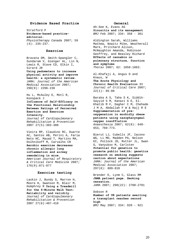### **Evidence Based Practice**

Stratford P **Evidence-based practiceeditorial.**  *Physiotherapy Canada* 2007; 59  $(4): 235-237.$ 

#### **Exercise**

Bravata DM, Smith-Spangler C, Sundaram V, Gienger AL, Lin N, Lewis R, Stave CD, Olkin I, Sirard JR **Using pedometers to increase** 

**physical activity and improve health: a systematic review.**  *JAMA: Journal of the American Medical Association* 2007; 298(9): 2296-230

Hu L, McAuley E, Motl R, Konopack J

**Influence of Self-Efficacy on the Functional Relationship Between Ratings of Perceived Exertion and Exercise Intensity.**

*Journal of Cardiopulmonary Rehabilitation & Prevention* 2007 27(5):303-308

Vieira RP, Claudino RC, Duarte AC, Santos AB, Perini A, Faria Neto HC, Mauad T, Martins MA, Dolhnikoff M, Carvalho CR **Aerobic exercise decreases chronic allergic lung inflammation and airway remodeling in mice.**  *American Journal of Respiratory & Critical Care Medicine* 2007; 176(9):871-877

#### **Exercise testing**

Laskin J, Bundy S, Marron H, Moore H, Swanson M, Blair M, Humphrey R **Using a Treadmill for the 6-Minute Walk Test: Reliability and validity.** *Journal of Cardiopulmonary Rehabilitation & Prevention*  2007 27(6):407-410

### **General**

Ah-See K, Evans AS **Sinusitis and its management** *BMJ* Feb 2007; 334: 358 - 361

Aldington Sarah, Williams Mathew, Nowitz Mike, Weatherall Mark, Pritchard Alison, McNaughton Amanda, Robinson Geoffrey, and Beasley Richard **Effects of cannabis on pulmonary structure, function and symptoms** *Thorax* 2007; 62: 1058-1063.

Al-Khafaji A, Angus D and

Knaus, W **The Acute Physiology and Chronic Health Evaluation II**  *Journal of Critical Care* 2007;  $22(1): 85-88$ 

Baraka A S, Taha S K, Siddik-Sayyid S M, Kanazi G E, El-Khatib M F, Dagher C M, Chehade J M A, Abdallah F W & Hajj R E **Supplementation of preoxygenation in morbidly obese patients using nasopharyngeal oxygen insufflation** *Anaesthesia* 2007; 62(8): 648- 653, 769-773*.* 

Bierut LJ, Cubells JF, Iacono WG, Li MD, Madden PA, Nelson EC, Pollock JD, Rutter JL, Swan G, Vanyukov M, Carlsten **Potential for genetics to promote public health: genetics research on smoking suggests caution about expectations** *JAMA: Journal of the American Medical Association* 2007; 297(8): 809-810

Brender E, Lynm C, Glass RM **JAMA patient page. Smoking cessation.** *JAMA* 2007; 298(22): 2700-2701

Dobson R **Number of UK patients awaiting a transplant reaches record high** *BMJ* May 2007; 334: 920 - 921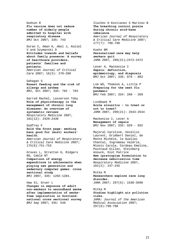Dodson R **Flu vaccine does not reduce number of elderly people admitted to hospital with respiratory disease** *BMJ* Oct 2007; 335: 743

Duran C, Oman K, Abel J, Koziel V and Szymanski D **Attitudes towards and beliefs about family presence: A survey of healthcare providers, patients' families and patients.**  *[American Journal of Critical](http://proquest.umi.com/pqdweb?RQT=318&pmid=36637&TS=1206899869&clientId=64919&VInst=PROD&VName=PQD&VType=PQD)  [Care](http://proquest.umi.com/pqdweb?RQT=318&pmid=36637&TS=1206899869&clientId=64919&VInst=PROD&VName=PQD&VType=PQD)* 2007; 16(3): 270-280

Gahagan S **Breast feeding and the risk of allergy and asthma** *BMJ*, Oct 2007; 335: 782 - 783

Garrod Rachel, Lasserson Toby **Role of physiotherapy in the management of chronic lung diseases: An overview of systematic reviews** *Respiratory Medicine* 2007, 101(12): 2429*-2436* 

Godfrey F **Hold the front page: smoking bans good for (most) workers' health.** *American Journal of Respiratory & Critical Care Medicine 2007*; 175(8):751-753

Graves L, Stratton G, Ridgers ND, Cable NT **Comparison of energy expenditure in adolescents when playing new generation and sedentary computer games: cross sectional study** *BMJ* 2007, 335: 1282-1284.

Haw SJ, Gruer L **Changes in exposure of adult non-smokers to secondhand smoke after implementation of smokefree legislation in Scotland: national cross sectional survey** *BMJ* Sep 2007; 335: 549

Iluchev D Kostianev S Marinov B **The breathing control puzzle during chronic acid-base imbalance**

*American Journal of Respiratory & Critical Care Medicine* 2007; 177(7): 798-798

Kuehn BM **Personalized care may help smokers quit**  *JAMA* 2007, 298(21);2472-2472

Lever A, Mackenzie I **Sepsis: definition, epidemiology, and diagnosis** *BMJ* Oct 2007; 335: 879 - 883

Lim WS, Thomson A, Little P **Preparing for the next flu pandemic** *BMJ* Feb 2007; 334: 268 - 269

Lindbaek M **Acute sinusitis - to treat or not to treat?** *JAMA* 2007, 298(21): 2543-2544

Mackenzie I, Lever A **Management of sepsis** *BMJ* Nov 2007; 335: 929 - 932

Majoral Caroline, Vecellio Laurent, Grimbert Daniel, de Monte Michèle, le Guellec Chantal, Ingremeau Valérie, Minois Carole, Cordeau Emeline, Paintaud Gilles, Steinberg Anouck, Diot Patrice **New ipratropium formulation to decrease nebulization time** *Respiratory Medicine* 2007, 101(2): 237-245

Mitka M **Researchers explore rare lung disorder.**  *JAMA* 2007; 297(5): 1538-3598

Mitka M **Studies highlight air pollution risks.**  *JAMA: Journal of the American Medical Association* 2007; 297(8):798-798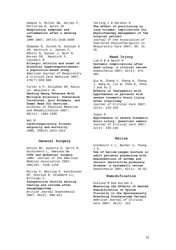Semple S, Miller BG, Hurley F, Petticrew M, Ayres JG **Respiratory symptoms and inflammation after a smoking ban**  *JAMA* 2007; 297(4):1538-3598

Shaaban R, Zureik M, Soussan D JM, Heinrich J, Janson C, KÃnzli N, Sunyer J, Wjst M, Burney PG, Neukirch F, Leynaert B **Allergic rhinitis and onset of bronchial hyperresponsiveness: a population-based study.**  *American Journal of Respiratory & Critical Care Medicine* 2007;

Turner A P, Kivlahan DR, Kazis LE, Haselkorn JK. **Smoking Among Veterans With Multiple Sclerosis: Prevalence Correlates, Quit Attempts, and Unmet Need for Services.** *Archives of Physical Medicine and Rehabilitation* 2007; 88(11): 1394-1399

176(7):659-666

Wei M **Cardiorespiratory fitness, adiposity and mortality.**  *JAMA*, 299(9):1013-1014

## **General Surgery**

Atkins RF, Galetta D, Serra M, Occhionero L, Smetana GW **COPD and abdominal surgery** *JAMA: Journal of the American Medical Association* 2007; 298(10): 1158-1159

Murray P, Whiting P, Hutchinson SP, Ackroyd R, Stoddard CJ, Billings C.

**Preoperative shuttle walking testing and outcome after oesophagectomy.**  *British Journal Anaesthesia*

2007; 99(6): 809-811

## Tarling C & Horobin H **The effect of positioning on lung volumes: implications for physiotherapy management of the surgical patient**

*Journal of the Association of Chartered Physiotherapists in Respiratory Care* 2007; 39: 21- 26.

## **Head Injury**

Lim H B & Smith M **Systemic complications after head injury: a clinical review**  *Anaesthesia* 2007; 62(5): 474- 482.

Qiu W, Zhang Y, Sheng H, Zhang J, Wang W, Liu W, Chen K, Zhou, J and Xu Z **Effects of therapeutic mild hypothermia on patients with severe traumatic brain injury after craniotomy**  *Journal of Critical Care* 2007; 22(3): 229-235

#### Zygun D

**Hypothermia in severe traumatic brain injury: Questions remain** *Journal of Critical Care* 2007; 22(3): 235-236

#### **Heliox**

Colebourn C L, Barber V, Young J D

**Use of helium-oxygen mixture in adult patients presenting with exacerbations of asthma and chronic obstructive pulmonary disease: a systematic review**  *Anaesthesia* 2007; 62(1): 34-42.

### **Humidification**

Ecklund M and Kurlah S **Measuring the Effects of Heated Humidification on Sputum Viscosity in the Spontaneously Breathing Tracheostomy Patient**  *[American Journal of Critical](http://proquest.umi.com/pqdweb?RQT=318&pmid=36637&TS=1206899869&clientId=64919&VInst=PROD&VName=PQD&VType=PQD)  [Care](http://proquest.umi.com/pqdweb?RQT=318&pmid=36637&TS=1206899869&clientId=64919&VInst=PROD&VName=PQD&VType=PQD)* 2007; 16(3): 312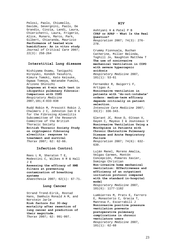Pelosi, Paolo, Chiumello, Davide, Severgnini, Paolo, De Grandis, Cinzia, Landi, Laura, Chierichetti, Laura, Frigerio, Alice, Munaro, Marco, Park, Gilbert, Chiaranda, Maurizio **Performance of heated wire humidifiers: An in vitro study**  *Journal of Critical Care* 2007;  $22(3): 258-264$ 

## **Interstitial Lung disease**

Nishiyama Osamu, Taniguchi Hiroyuki, Kondoh Yasuhiro, Kimura Tomoki, Kato Keisuke, Ogawa Tomoya, Watanabe Fumiko, Arizono Shinichi **Dyspnoea at 6-min walk test in** 

**idiopathic pulmonary fibrosis: Comparison with COPD** *Respiratory Medicine*  2007,101;4:833-838

Rudd Robin M, Prescott Robin J, Chalmers J C, Johnston Ian D A for the Fibrosing Alveolitis Subcommittee of the Research Committee of the British Thoracic Society **British Thoracic Society Study on cryptogenic fibrosing alveolitis: response to treatment and survival** *Thorax* 2007; 62: 62-66.

## **Infection Control**

Rees L M, Sheraton T E, Modestini C, Wilkes A R & Hall J E **Assessing the efficacy of HME filters at preventing** 

**contamination of breathing systems**  *Anaesthesia* 2007; 62(1): 67-71.

### **Lung Cancer**

Strand Trond-Eirik, Rostad Hans, Damhuis Ronald A M, and Norstein Jarle **Risk factors for 30-day mortality after resection of lung cancer and prediction of their magnitude.** *Thorax* 2007; 62: 991-997.

#### **NIV**

[Ashtyani H](http://content.karger.com/ProdukteDB/produkte.asp?Aktion=showproducts&searchWhat=authorsproducts&searchParm=ashtyani&ProduktNr=0) & [Patel P B](http://content.karger.com/ProdukteDB/produkte.asp?Aktion=showproducts&searchWhat=authorsproducts&searchParm=patel&ProduktNr=0) **CPAP or APAP - What Is the Real Question?** *Respiration* 2007; 74(3): 276- 278.

Crummy Fionnuala, Buchan Catherine, Miller Belinda, Toghill Jo, Naughton Matthew T **The use of noninvasive mechanical ventilation in COPD with severe hypercapnic acidosis** *Respiratory Medicine* 2007, 101(1): 53-61

Fernandez R, Baigorri F, Artigas A. **Noninvasive ventilation in patients with "do-not-intubate" orders: medium-term efficacy depends critically on patient selection.**  *Intensive Care Medicine* 2007; 33(2): 336-343.

Glerant JC, [Rose D,](http://content.karger.com/ProdukteDB/produkte.asp?Aktion=showproducts&searchWhat=authorsproducts&searchParm=rose&ProduktNr=0) [Oltean V,](http://content.karger.com/ProdukteDB/produkte.asp?Aktion=showproducts&searchWhat=authorsproducts&searchParm=oltean&ProduktNr=0) [Dayen C,](http://content.karger.com/ProdukteDB/produkte.asp?Aktion=showproducts&searchWhat=authorsproducts&searchParm=dayen&ProduktNr=0) [Mayeux I](http://content.karger.com/ProdukteDB/produkte.asp?Aktion=showproducts&searchWhat=authorsproducts&searchParm=mayeux&ProduktNr=0) & [Jounieaux V](http://content.karger.com/ProdukteDB/produkte.asp?Aktion=showproducts&searchWhat=authorsproducts&searchParm=jounieaux&ProduktNr=0) **Noninvasive Ventilation Using a Mouthpiece in Patients with Chronic Obstructive Pulmonary Disease and Acute Respiratory Failure** *Respiration* 2007; 74(6): 632- 639.

Luján Manel, Moreno Amalia, Veigas Carmen, Montón Concepción, Pomares Xavier, Domingo Christian

**Non-invasive home mechanical ventilation: Effectiveness and efficiency of an outpatient initiation protocol compared with the standard in-hospital model** *Respiratory Medicine* 2007,

101(6): 1177-1182

Lumbierres M, Prats E, Farrero E, Monasterio C, Gracia T, Manresa F, Escarrabill J **Noninvasive positive pressure ventilation prevents postoperative pulmonary complications in chronic ventilators users**  *Respiratory Medicine* 2007,  $101(1): 62-68$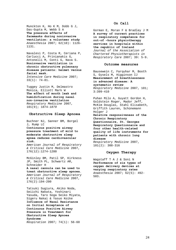Munckton K, Ho K M, Dobb G J, Das-Gupta M, Webb S A **The pressure effects of facemasks during noninvasive ventilation: a volunteer study** *Anaesthesia* 2007; 62(10): 1126- 1131.

Navalesi P, Costa R, Ceriana P, Carlucci A, Prinianakis G, Antonelli M, Conti G, Nava S. **Noninvasive ventilation in chronic obstructive pulmonary disease patients: helmet versus facial mask.**  *Intensive Care Medicine* 2007; 33(1): 74-81.

Tuggey Justin M, Delmastro Monica, Elliott Mark W **The effect of mouth leak and humidification during nasal non-invasive ventilation** *Respiratory Medicine* 2007, 101(9); 1874*-1879* 

### **Obstructive Sleep Apnoea**

Buchner NJ, Sanner BM, Borgel J, Rump LC

**Continuous positive airway pressure treatment of mild to moderate obstructive sleep apnea reduces cardiovascular risk.**

*American Journal of Respiratory & Critical Care Medicine* 2007, 176(12):1274-1280

McGinley BM, Patil SP, Kirkness JP, Smith PL, Schwartz AR, Schneider H

**A nasal cannula can be used to treat obstructive sleep apnoea.** *American Journal of Respiratory & Critical Care Medicine* 2007, 176(2):194-200

Tatsuki Sugiura, Akiko Noda, Seiichi Nakata, Yoshinari Yasuda, Taro Soga Seiko Miyata, Sigeru Nakai & Yasuo Koike **Influence of Nasal Resistance on Initial Acceptance of Continuous Positive Airway Pressure in Treatment for Obstructive Sleep Apnoea Syndrome** *Respiration* 2007; 74(1): 56-60

## **On Call**

Gorman E, Moran F & Bradley J M **A survey of current practices in respiratory competence for out-of –hours physiotherapy services in hospitals within the republic of Ireland** *Journal of the Association of Chartered Physiotherapists in Respiratory Care* 2007; 39: 5-9.

## **Outcome measures**

Bausewein C, Farquhar M, Booth S, Gysels M, Higginson IJ **Measurement of breathlessness in advanced disease: A systematic review**  *Respiratory Medicine* 2007, 101; 3:399-410

Puhan Milo A, Guyatt Gordon H, Goldstein Roger, Mador Jeff, McKim Douglas, Stahl Elisabeth, Griffith Lauren, Schünemann Holger J **Relative responsiveness of the Chronic Respiratory Questionnaire, St. Georges Respiratory Questionnaire and four other health-related quality of life instruments for** 

**patients with chronic lung disease**  *Respiratory Medicine* 2007,

101(2): 308-316

## **Oxygen Therapy**

Wagstaff T A J & Soni N **Performance of six types of oxygen delivery devices at varying respiratory rates**  *Anaesthesia* 2007; 62(5): 492- 503.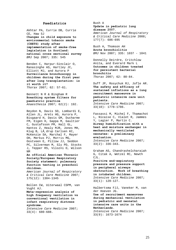### **Paediatrics**

Akhtar PA, Currie DB, Currie CE, Haw SJ **Changes in child exposure to environmental tobacco smoke (CHETS) study after implementation of smoke-free legislation in Scotland: national cross sectional survey** *BMJ* Sep 2007; 335: 545

Benden C, Harpur-Sinclair O, Ranasinghe AS, Hartley JC, Elliott MJ, and Aurora P **Surveillance bronchoscopy in children during the first year after lung transplantation: is it worth it?** *Thorax* 2007; 62: 57-61.

Bennett N R & Bingham R **Breathing system filters for paediatric practice**  *Anaesthesia* 2007; 62(2): 192.

Beydon N, Davis SD, Lombardi E, Allen JL, Arets HG, Aurora P, Bisgaard H, Davis GM, Ducharme FM, Eigen H, Gappa M, Gaultier C, Gustafsson PM, Hall GL, Hantos Z, Healy MJR, Jones MH, Klug B, LÃ drup Carlsen KC, McKenzie SA, Marchal F, Mayer OH, Merkus PJ, Morris MG, Oostveen E, Pillow JJ, Seddon PC, Silverman M, Sly PD, Stocks J, Tepper RS, Vilozni D, Wilson NM

**An official American Thoracic Society/European Respiratory Society statement: pulmonary function testing in preschool children.** 

*American Journal of Respiratory & Critical Care Medicine* 2007; 175(12): 1304-1345

Bollen CW, Uiterwaal CSPM, van Vught AJ.

**Meta-regression analysis of high frequency ventilation vs conventional ventilation in infant respiratory distress syndrome.** 

*Intensive Care Medicine* 2007; 33(4): 680-688.

Bush A **Update in pediatric lung disease 2007.**  *American Journal of Respiratory & Critical Care Medicine* 2008; 177(7): 686-695

Bush A, Thomson AH **Acute bronchiolitis** *BMJ* Nov 2007; 335: 1037 - 1041

Donnelly Deirdre, Critchlow Anita, and Everard Mark L **Outcomes in children treated for persistent bacterial bronchitis** *Thorax* 2007; 62: 80-84.

Duff JP, Rosychuk RJ, Jofle AR. **The safety and efficacy of sustained inflations as a lung recruitment manoeuvre in pediatric intensive care unit patients.**  *Intensive Care Medicine* 2007;

33(10): 1778-1786.

Fassassi M, Michel F, Thamachot L, Nicaise C, Vialet R, Jammes Y, Lagier P, Martin C. **Airway humidification with a heat and moisture exchanger in mechanically ventilated neonates: a preliminary evaluation.**  *Intensive Care Medicine* 2007; 33(2): 336-343.

Graham AS, Chandrashelcharaiah G, Citak A, Wetzel RC, Newth CJL. **Positive end-expiratory pressure and pressure support in peripheral airways** 

**obstruction. Work of breathing in intubated children.**  *Intensive Care Medicine* 2007; 33(1): 120-127.

Halbertsma FJJ, Vaneker M, van der Hoeven JG. **Use of recruitment maneuvres during mechanical ventilation in pediatric and neonatal intensive care units in the Netherlands.**  *Intensive Care Medicine* 2007; 33(9): 1673-1674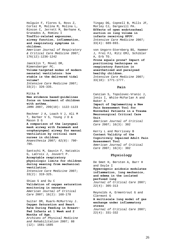Holguin F, Flores S, Ross Z, Cortez M, Molina M, Molina L, Rincon C, Jerrett M, Berhane K, Granados A, Romieu I **Traffic-related exposures, airway function, inflammation, and respiratory symptoms in children.** *American Journal of Respiratory & Critical Care Medicine* 2007; 176(12):1236-1242

Jaecklin T, Movel DR, Rimensberger PC. **Volume-targeted modes of modern neonatal ventilators: how stable is the delivered tidal volume?**  *Intensive Care Medicine* 2007; 33(2): 326-335.

Mitka M **New evidence based-guidelines focus on treatment of children with asthma.**  *JAMA* 2007, 299(10): 1122-1123

Rechner J A, Loach V J, Ali M T, Barber V S, Young J D & Mason D G **A comparison of the laryngeal mask airway with facemask and oropharyngeal airway for manual ventilation by critical care nurses in children**

*Anaesthesia 2007; 62(8): 790- 795.* 

Santschi M, Gauvin F, Hatzakis G, LaCroix J, Jouvert P. **Acceptable respiratory physiologic limits for children during weaning from mechanical ventilation.**  *Intensive Care Medicine* 2007; 33(2): 319-325.

Shiao S and Ou C **Validation of oxygen saturation monitoring in neonates**  *[American Journal of Critical](http://proquest.umi.com/pqdweb?RQT=318&pmid=36637&TS=1206899869&clientId=64919&VInst=PROD&VName=PQD&VType=PQD)  [Care](http://proquest.umi.com/pqdweb?RQT=318&pmid=36637&TS=1206899869&clientId=64919&VInst=PROD&VName=PQD&VType=PQD)* 2007; 16(2): 168-178

Suiter DM, Ruark-McMurtrey J. **Oxygen Saturation and Heart Rate During Feeding in Breast-Fed Infants at 1 Week and 2 Months of Age.**

*Archives of Physical Medicine and Rehabilitation* 2007; 88 (12): 1681-1685

Tingay DG, Copnell B, Mills JF, Morley CJ, Dargavill PA. **Effects of open endotracheal suction on lung volume in infants receiving HFOV.**  *Intensive Care Medicine* 2007; 33(4): 689-693.

von Ungorn-Sternberg BS, Hammer J, Frei FJ, Ritz EMJ, Schibler A, Erb TO. **Prone equals prone? Impact of positioning techniques on respiratory function in anesthetized and paralysed healthy children.**  *Intensive Care Medicine* 2007; 33(10): 1771-1777.

### **Pain**

Canzian S, Topolovec-Vranic J, lnnis I, White-McFarlan A and Baker A **Impact of Implementing a New Pain Assessment Tool for Nonverbal Patients in a Trauma Neurosurgical Critical Care Unit**  *[American Journal of Critical](http://proquest.umi.com/pqdweb?RQT=318&pmid=36637&TS=1206899869&clientId=64919&VInst=PROD&VName=PQD&VType=PQD)  [Care](http://proquest.umi.com/pqdweb?RQT=318&pmid=36637&TS=1206899869&clientId=64919&VInst=PROD&VName=PQD&VType=PQD)* 2007; 16(3): 302

Kerry L and Morrissey B **Content Validity of the Cognitively Impaired Adult Pain Assessment Tool**  *[American Journal of Critical](http://proquest.umi.com/pqdweb?RQT=318&pmid=36637&TS=1206899869&clientId=64919&VInst=PROD&VName=PQD&VType=PQD)* 

*[Care](http://proquest.umi.com/pqdweb?RQT=318&pmid=36637&TS=1206899869&clientId=64919&VInst=PROD&VName=PQD&VType=PQD)* 2007; 16(3): 302

## **Physiology**

De Smet H, Bersten A, Barr H and Doyle I **Hypercapnic acidosis modulates inflammation, lung mechanics, and edema in the isolated perfused lung**  *Journal of Critical Care* 2007; 22(4): 305-313

Reynolds A, Ermentrout G and Clermont G **A multiscale lung model of gas exchange under inflammatory stress**  *Journal of Critical Care* 2007; 22(4): 331-332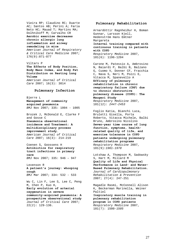Vieira RP; Claudino RC; Duarte AC; Santos AB; Perini A; Faria Neto HC; Mauad T; Martins MA; Dolhnikoff M; Carvalho CR **Aerobic exercise decreases chronic allergic lung inflammation and airway remodeling in mice**  *American Journal of Respiratory & Critical Care Medicine* 2007; 176(9):871-877

Viltars P

**The Effects of Body Position, Body Mass Index, and Body Fat Distribution on Resting Lung Volume**  *[American Journal of Critical](http://proquest.umi.com/pqdweb?RQT=318&pmid=36637&TS=1206899869&clientId=64919&VInst=PROD&VName=PQD&VType=PQD)  [Care](http://proquest.umi.com/pqdweb?RQT=318&pmid=36637&TS=1206899869&clientId=64919&VInst=PROD&VName=PQD&VType=PQD)* 2007; 16(3): 3014

### **Pulmonary Infection**

Bjerre L **Management of community acquired pneumonia** *BMJ* Nov 2007; 335: 1004 - 1005

Brozek J, McDonald E, Clarke F and Gosse C **Pneumonia observational incidence and Treatment: A multidisciplinary process improvement study.** 

*[American Journal of Critical](http://proquest.umi.com/pqdweb?RQT=318&pmid=36637&TS=1206899869&clientId=64919&VInst=PROD&VName=PQD&VType=PQD)  [Care](http://proquest.umi.com/pqdweb?RQT=318&pmid=36637&TS=1206899869&clientId=64919&VInst=PROD&VName=PQD&VType=PQD)* 2007; 16(3): 214-219

Coenen S, Goossens H **Antibiotics for respiratory tract infections in primary care** *BMJ* Nov 2007; 335: 946 – 947

Levenson R **A patient's journey: whooping cough** *BMJ* Mar 2007; 334: 532 - 533

Wu C, Lin F, Lee S, Lee C, Peng M, Chen P, Kuo H, **Early evolution of arterial oxygenation in severe community-acquired pneumonia: A prospective observational study**  *Journal of Critical Care* 2007;  $22(2): 129-136.$ 

### **Pulmonary Rehabilitation**

Arnardóttir Ragnheiður H, Boman Gunnar, Larsson Kjell, Hedenström Hans Emtner Margareta **Interval training compared with continuous training in patients with COPD** *Respiratory Medicine* 2007, 101(6): 1196-1204 Carone M, Patessio A, Ambrosino

N, Baiardi P, Balbi B, Balzano G, Cuomo V, Donner CF, Fracchia C, Nava S, Neri M, Pozzi E, Vitacca M, Spanevello A **Efficacy of pulmonary rehabilitation in chronic respiratory failure (CRF) due to chronic obstructive pulmonary disease (COPD): The Maugeri Study**  *Respiratory Medicine* 2007, 101(12): *2447-2453*

Foglio Katia, Bianchi Luca, Bruletti Gisella, Porta Roberto, Vitacca Michele, Balbi Bruno, Ambrosino Nicolino **Seven-year time course of lung function, symptoms, healthrelated quality of life, and exercise tolerance in COPD patients undergoing pulmonary rehabilitation programs** *Respiratory Medicine* 2007, 101(9):*1961-1970* 

Lotshaw A, Thompson M, Sadowsky S, Hart M, Millard M **Quality of Life and Physical Performance in Land- and Water-Based Pulmonary Rehabilitation.** *Journal of Cardiopulmonary Rehabilitation & Prevention* 2007; 27(4): 247-251

Magadle Rasmi, McConnell Alison K, Beckerman Marinella, Weiner Paltiel **Inspiratory muscle training in pulmonary rehabilitation program in COPD patients** *Respiratory Medicine* 2007, 101(7): 1500*-1505*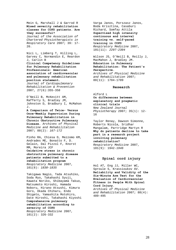Mein G, Marshall J & Garrod R **Mixed severity rehabilitation classes for COPD patients. Are they successful?** 

*Journal of the Association of Chartered Physiotherapists in Respiratory Care* 2007; 39: 17- 20.

Nici L, Limberg T, Hilling L, Garvey C, Normandin E, Reardon J, Carlin B **Clinical Competency Guidelines for Pulmonary Rehabilitation Professionals: American association of cardiovascular and pulmonary rehabilitation position statement.** *Journal of Cardiopulmonary Rehabilitation & Prevention* 2007, 27(6):355-358

O'Neill B, McKevitt AM, Rafferty S, Bradley JM, Johnston D, Bradbury I, McMahon J.

**A Comparison of Twice- Versus Once-Weekly Supervision During Pulmonary Rehabilitation in Chronic Obstructive Pulmonary Disease.** *Archives of Physical Medicine and Rehabilitation*  2007; 88(2): *167-172*

Pinho RA, Chiesa D, Mezzomo KM, Andrades ME, Bonatto F, D. Gelain, Dal Pizzol F, Knorst MM, Moreira JCF **Oxidative stress in chronic obstructive pulmonary disease patients submitted to a rehabilitation program** *Respiratory Medicine* 2007, 101(8): *1830-1835* 

Takigawa Nagio, Tada Atsuhiko, Soda Ryo, Takahashi Syuji, Kawata Noriko, Shibayama Takuo, Matsumoto Hiroshi, Hamada Noboru, Hirano Atsushi, Kimura Goro, Okada Chiharu, Endo Shigeto, Yamashita Motohiro, Date Hiroshi, Takahashi Kiyoshi **Comprehensive pulmonary rehabilitation according to severity of COPD**  *Respiratory Medicine* 2007, 101(2): 326-332

Varga Janos, Porszasz Janos, Boda Krisztina, Casaburi Richard, Somfay Attila **Supervised high intensity continuous and interval training vs. self-paced training in COPD** *Respiratory Medicine* 2007, 101(11): *2297-2304* 

Wilson JS, O'Neill B, Reilly J, MacMahon J, Bradley JM. **Education in Pulmonary Rehabilitation: The Patient's Perspective.** *Archives of Physical Medicine* 

*and Rehabilitation* 2007; 88(11): 1704-1709

### **Research**

Alford L **On differences between explanatory and pragmatic clinical trials**  *New Zealand Journal Physiotherapy* 2007; 35(1): 12- 16

Taylor Renay, Dawson Simonne, Roberts Nicola, Sridhar Mangalam, Partridge Martyn R **Why do patients decline to take part in a research project involving pulmonary rehabilitation?**  *Respiratory Medicine* 2007, 101(9): 1942*-1946* 

## **Spinal cord injury**

Hol AT, Eng JJ, Miller WC, Sproule S, Krassioukov AV. **Reliability and Validity of the Six-Minute Arm Test for the Evaluation of Cardiovascular Fitness in People With Spinal Cord Injury.** *Archives of Physical Medicine* 

*and Rehabilitation* 2007; 88(4): 489-495